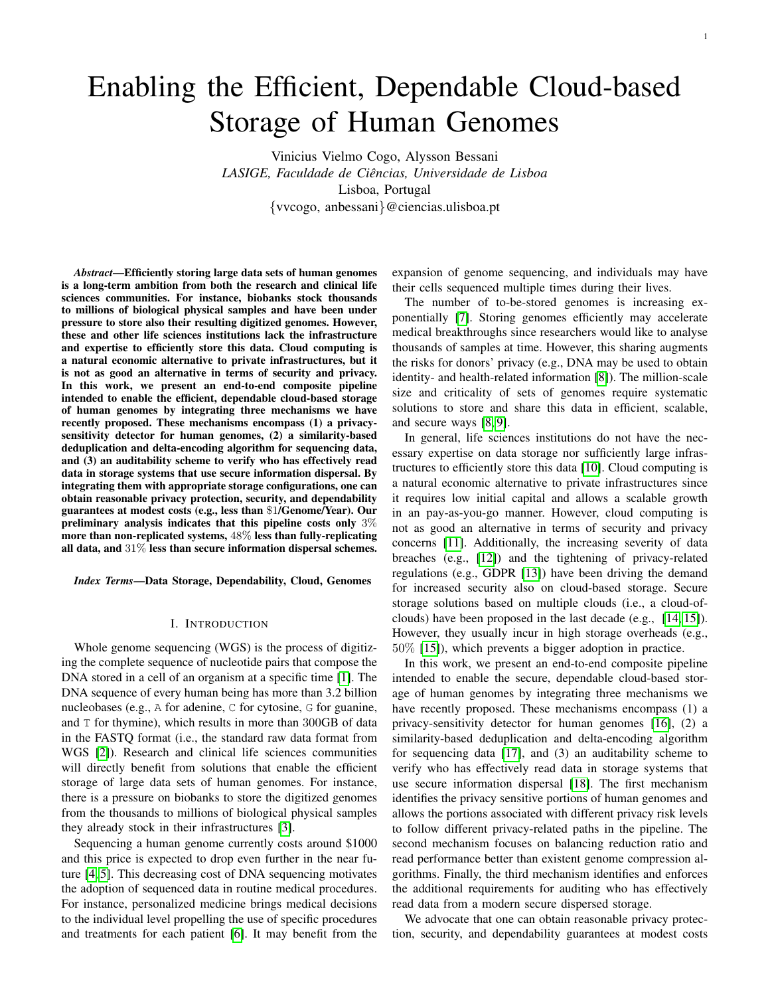# Enabling the Efficient, Dependable Cloud-based Storage of Human Genomes

Vinicius Vielmo Cogo, Alysson Bessani *LASIGE, Faculdade de Ciencias, Universidade de Lisboa ˆ* Lisboa, Portugal {vvcogo, anbessani}@ciencias.ulisboa.pt

*Abstract*—Efficiently storing large data sets of human genomes is a long-term ambition from both the research and clinical life sciences communities. For instance, biobanks stock thousands to millions of biological physical samples and have been under pressure to store also their resulting digitized genomes. However, these and other life sciences institutions lack the infrastructure and expertise to efficiently store this data. Cloud computing is a natural economic alternative to private infrastructures, but it is not as good an alternative in terms of security and privacy. In this work, we present an end-to-end composite pipeline intended to enable the efficient, dependable cloud-based storage of human genomes by integrating three mechanisms we have recently proposed. These mechanisms encompass (1) a privacysensitivity detector for human genomes, (2) a similarity-based deduplication and delta-encoding algorithm for sequencing data, and (3) an auditability scheme to verify who has effectively read data in storage systems that use secure information dispersal. By integrating them with appropriate storage configurations, one can obtain reasonable privacy protection, security, and dependability guarantees at modest costs (e.g., less than \$1/Genome/Year). Our preliminary analysis indicates that this pipeline costs only 3% more than non-replicated systems, 48% less than fully-replicating all data, and 31% less than secure information dispersal schemes.

*Index Terms*—Data Storage, Dependability, Cloud, Genomes

#### I. INTRODUCTION

Whole genome sequencing (WGS) is the process of digitizing the complete sequence of nucleotide pairs that compose the DNA stored in a cell of an organism at a specific time [\[1\]](#page-5-0). The DNA sequence of every human being has more than 3.2 billion nucleobases (e.g., A for adenine, C for cytosine, G for guanine, and T for thymine), which results in more than 300GB of data in the FASTQ format (i.e., the standard raw data format from WGS [\[2\]](#page-5-1)). Research and clinical life sciences communities will directly benefit from solutions that enable the efficient storage of large data sets of human genomes. For instance, there is a pressure on biobanks to store the digitized genomes from the thousands to millions of biological physical samples they already stock in their infrastructures [\[3\]](#page-5-2).

Sequencing a human genome currently costs around \$1000 and this price is expected to drop even further in the near future [\[4,](#page-5-3) [5\]](#page-5-4). This decreasing cost of DNA sequencing motivates the adoption of sequenced data in routine medical procedures. For instance, personalized medicine brings medical decisions to the individual level propelling the use of specific procedures and treatments for each patient [\[6\]](#page-5-5). It may benefit from the

expansion of genome sequencing, and individuals may have their cells sequenced multiple times during their lives.

The number of to-be-stored genomes is increasing exponentially [\[7\]](#page-5-6). Storing genomes efficiently may accelerate medical breakthroughs since researchers would like to analyse thousands of samples at time. However, this sharing augments the risks for donors' privacy (e.g., DNA may be used to obtain identity- and health-related information [\[8\]](#page-5-7)). The million-scale size and criticality of sets of genomes require systematic solutions to store and share this data in efficient, scalable, and secure ways [\[8,](#page-5-7) [9\]](#page-5-8).

In general, life sciences institutions do not have the necessary expertise on data storage nor sufficiently large infrastructures to efficiently store this data [\[10\]](#page-5-9). Cloud computing is a natural economic alternative to private infrastructures since it requires low initial capital and allows a scalable growth in an pay-as-you-go manner. However, cloud computing is not as good an alternative in terms of security and privacy concerns [\[11\]](#page-5-10). Additionally, the increasing severity of data breaches (e.g., [\[12\]](#page-5-11)) and the tightening of privacy-related regulations (e.g., GDPR [\[13\]](#page-5-12)) have been driving the demand for increased security also on cloud-based storage. Secure storage solutions based on multiple clouds (i.e., a cloud-ofclouds) have been proposed in the last decade (e.g., [\[14,](#page-5-13) [15\]](#page-5-14)). However, they usually incur in high storage overheads (e.g., 50% [\[15\]](#page-5-14)), which prevents a bigger adoption in practice.

In this work, we present an end-to-end composite pipeline intended to enable the secure, dependable cloud-based storage of human genomes by integrating three mechanisms we have recently proposed. These mechanisms encompass (1) a privacy-sensitivity detector for human genomes [\[16\]](#page-5-15), (2) a similarity-based deduplication and delta-encoding algorithm for sequencing data [\[17\]](#page-5-16), and (3) an auditability scheme to verify who has effectively read data in storage systems that use secure information dispersal [\[18\]](#page-5-17). The first mechanism identifies the privacy sensitive portions of human genomes and allows the portions associated with different privacy risk levels to follow different privacy-related paths in the pipeline. The second mechanism focuses on balancing reduction ratio and read performance better than existent genome compression algorithms. Finally, the third mechanism identifies and enforces the additional requirements for auditing who has effectively read data from a modern secure dispersed storage.

We advocate that one can obtain reasonable privacy protection, security, and dependability guarantees at modest costs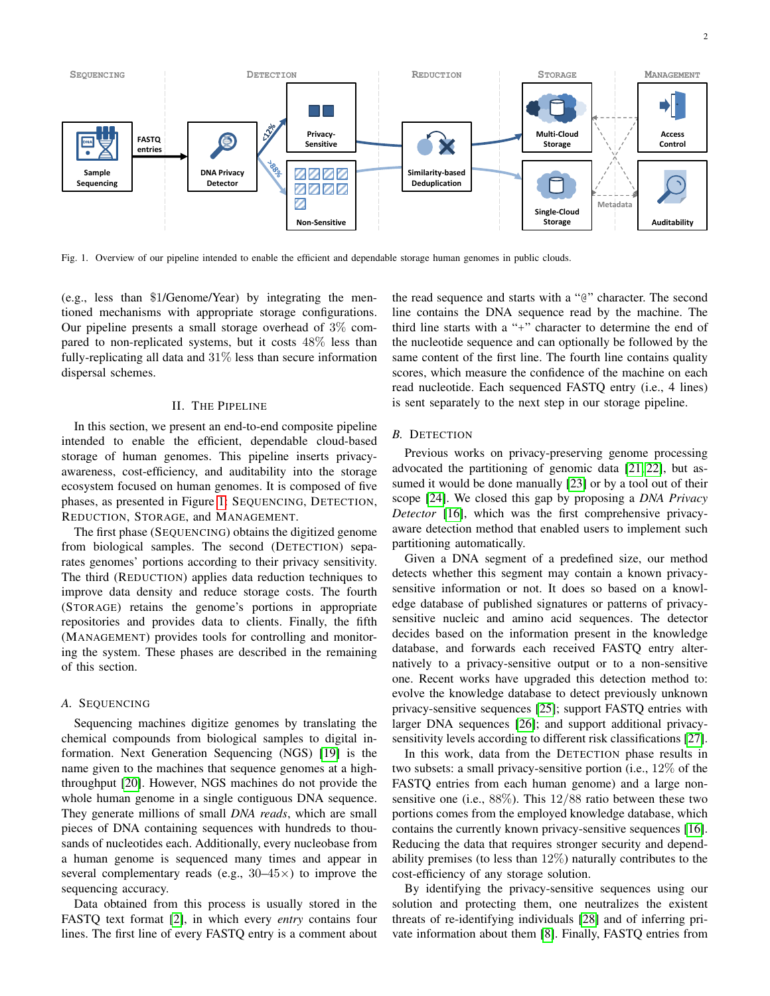

<span id="page-1-0"></span>Fig. 1. Overview of our pipeline intended to enable the efficient and dependable storage human genomes in public clouds.

(e.g., less than \$1/Genome/Year) by integrating the mentioned mechanisms with appropriate storage configurations. Our pipeline presents a small storage overhead of 3% compared to non-replicated systems, but it costs 48% less than fully-replicating all data and  $31\%$  less than secure information dispersal schemes.

## II. THE PIPELINE

<span id="page-1-2"></span>In this section, we present an end-to-end composite pipeline intended to enable the efficient, dependable cloud-based storage of human genomes. This pipeline inserts privacyawareness, cost-efficiency, and auditability into the storage ecosystem focused on human genomes. It is composed of five phases, as presented in Figure [1:](#page-1-0) SEQUENCING, DETECTION, REDUCTION, STORAGE, and MANAGEMENT.

The first phase (SEQUENCING) obtains the digitized genome from biological samples. The second (DETECTION) separates genomes' portions according to their privacy sensitivity. The third (REDUCTION) applies data reduction techniques to improve data density and reduce storage costs. The fourth (STORAGE) retains the genome's portions in appropriate repositories and provides data to clients. Finally, the fifth (MANAGEMENT) provides tools for controlling and monitoring the system. These phases are described in the remaining of this section.

## *A.* SEQUENCING

Sequencing machines digitize genomes by translating the chemical compounds from biological samples to digital information. Next Generation Sequencing (NGS) [\[19\]](#page-5-18) is the name given to the machines that sequence genomes at a highthroughput [\[20\]](#page-5-19). However, NGS machines do not provide the whole human genome in a single contiguous DNA sequence. They generate millions of small *DNA reads*, which are small pieces of DNA containing sequences with hundreds to thousands of nucleotides each. Additionally, every nucleobase from a human genome is sequenced many times and appear in several complementary reads (e.g.,  $30-45\times$ ) to improve the sequencing accuracy.

Data obtained from this process is usually stored in the FASTQ text format [\[2\]](#page-5-1), in which every *entry* contains four lines. The first line of every FASTQ entry is a comment about the read sequence and starts with a "@" character. The second line contains the DNA sequence read by the machine. The third line starts with a "+" character to determine the end of the nucleotide sequence and can optionally be followed by the same content of the first line. The fourth line contains quality scores, which measure the confidence of the machine on each read nucleotide. Each sequenced FASTQ entry (i.e., 4 lines) is sent separately to the next step in our storage pipeline.

## <span id="page-1-1"></span>*B.* DETECTION

Previous works on privacy-preserving genome processing advocated the partitioning of genomic data [\[21,](#page-5-20) [22\]](#page-5-21), but assumed it would be done manually [\[23\]](#page-5-22) or by a tool out of their scope [\[24\]](#page-5-23). We closed this gap by proposing a *DNA Privacy Detector* [\[16\]](#page-5-15), which was the first comprehensive privacyaware detection method that enabled users to implement such partitioning automatically.

Given a DNA segment of a predefined size, our method detects whether this segment may contain a known privacysensitive information or not. It does so based on a knowledge database of published signatures or patterns of privacysensitive nucleic and amino acid sequences. The detector decides based on the information present in the knowledge database, and forwards each received FASTQ entry alternatively to a privacy-sensitive output or to a non-sensitive one. Recent works have upgraded this detection method to: evolve the knowledge database to detect previously unknown privacy-sensitive sequences [\[25\]](#page-5-24); support FASTQ entries with larger DNA sequences [\[26\]](#page-5-25); and support additional privacysensitivity levels according to different risk classifications [\[27\]](#page-5-26).

In this work, data from the DETECTION phase results in two subsets: a small privacy-sensitive portion (i.e., 12% of the FASTQ entries from each human genome) and a large nonsensitive one (i.e.,  $88\%$ ). This  $12/88$  ratio between these two portions comes from the employed knowledge database, which contains the currently known privacy-sensitive sequences [\[16\]](#page-5-15). Reducing the data that requires stronger security and dependability premises (to less than 12%) naturally contributes to the cost-efficiency of any storage solution.

By identifying the privacy-sensitive sequences using our solution and protecting them, one neutralizes the existent threats of re-identifying individuals [\[28\]](#page-5-27) and of inferring private information about them [\[8\]](#page-5-7). Finally, FASTQ entries from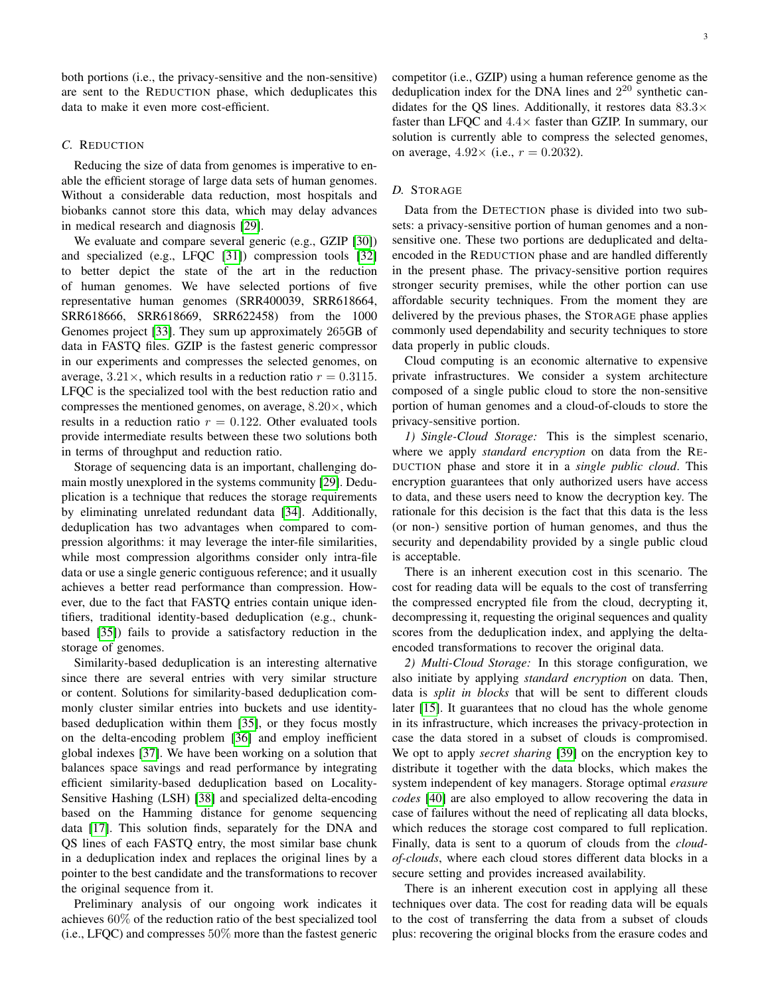both portions (i.e., the privacy-sensitive and the non-sensitive) are sent to the REDUCTION phase, which deduplicates this data to make it even more cost-efficient.

# <span id="page-2-0"></span>*C.* REDUCTION

Reducing the size of data from genomes is imperative to enable the efficient storage of large data sets of human genomes. Without a considerable data reduction, most hospitals and biobanks cannot store this data, which may delay advances in medical research and diagnosis [\[29\]](#page-5-28).

We evaluate and compare several generic (e.g., GZIP [\[30\]](#page-5-29)) and specialized (e.g., LFQC [\[31\]](#page-5-30)) compression tools [\[32\]](#page-5-31) to better depict the state of the art in the reduction of human genomes. We have selected portions of five representative human genomes (SRR400039, SRR618664, SRR618666, SRR618669, SRR622458) from the 1000 Genomes project [\[33\]](#page-5-32). They sum up approximately 265GB of data in FASTQ files. GZIP is the fastest generic compressor in our experiments and compresses the selected genomes, on average,  $3.21 \times$ , which results in a reduction ratio  $r = 0.3115$ . LFQC is the specialized tool with the best reduction ratio and compresses the mentioned genomes, on average,  $8.20 \times$ , which results in a reduction ratio  $r = 0.122$ . Other evaluated tools provide intermediate results between these two solutions both in terms of throughput and reduction ratio.

Storage of sequencing data is an important, challenging domain mostly unexplored in the systems community [\[29\]](#page-5-28). Deduplication is a technique that reduces the storage requirements by eliminating unrelated redundant data [\[34\]](#page-5-33). Additionally, deduplication has two advantages when compared to compression algorithms: it may leverage the inter-file similarities, while most compression algorithms consider only intra-file data or use a single generic contiguous reference; and it usually achieves a better read performance than compression. However, due to the fact that FASTQ entries contain unique identifiers, traditional identity-based deduplication (e.g., chunkbased [\[35\]](#page-5-34)) fails to provide a satisfactory reduction in the storage of genomes.

Similarity-based deduplication is an interesting alternative since there are several entries with very similar structure or content. Solutions for similarity-based deduplication commonly cluster similar entries into buckets and use identitybased deduplication within them [\[35\]](#page-5-34), or they focus mostly on the delta-encoding problem [\[36\]](#page-5-35) and employ inefficient global indexes [\[37\]](#page-5-36). We have been working on a solution that balances space savings and read performance by integrating efficient similarity-based deduplication based on Locality-Sensitive Hashing (LSH) [\[38\]](#page-5-37) and specialized delta-encoding based on the Hamming distance for genome sequencing data [\[17\]](#page-5-16). This solution finds, separately for the DNA and QS lines of each FASTQ entry, the most similar base chunk in a deduplication index and replaces the original lines by a pointer to the best candidate and the transformations to recover the original sequence from it.

Preliminary analysis of our ongoing work indicates it achieves 60% of the reduction ratio of the best specialized tool (i.e., LFQC) and compresses 50% more than the fastest generic

competitor (i.e., GZIP) using a human reference genome as the deduplication index for the DNA lines and  $2^{20}$  synthetic candidates for the QS lines. Additionally, it restores data  $83.3\times$ faster than LFQC and  $4.4\times$  faster than GZIP. In summary, our solution is currently able to compress the selected genomes, on average,  $4.92 \times$  (i.e.,  $r = 0.2032$ ).

# *D.* STORAGE

Data from the DETECTION phase is divided into two subsets: a privacy-sensitive portion of human genomes and a nonsensitive one. These two portions are deduplicated and deltaencoded in the REDUCTION phase and are handled differently in the present phase. The privacy-sensitive portion requires stronger security premises, while the other portion can use affordable security techniques. From the moment they are delivered by the previous phases, the STORAGE phase applies commonly used dependability and security techniques to store data properly in public clouds.

Cloud computing is an economic alternative to expensive private infrastructures. We consider a system architecture composed of a single public cloud to store the non-sensitive portion of human genomes and a cloud-of-clouds to store the privacy-sensitive portion.

*1) Single-Cloud Storage:* This is the simplest scenario, where we apply *standard encryption* on data from the RE-DUCTION phase and store it in a *single public cloud*. This encryption guarantees that only authorized users have access to data, and these users need to know the decryption key. The rationale for this decision is the fact that this data is the less (or non-) sensitive portion of human genomes, and thus the security and dependability provided by a single public cloud is acceptable.

There is an inherent execution cost in this scenario. The cost for reading data will be equals to the cost of transferring the compressed encrypted file from the cloud, decrypting it, decompressing it, requesting the original sequences and quality scores from the deduplication index, and applying the deltaencoded transformations to recover the original data.

*2) Multi-Cloud Storage:* In this storage configuration, we also initiate by applying *standard encryption* on data. Then, data is *split in blocks* that will be sent to different clouds later [\[15\]](#page-5-14). It guarantees that no cloud has the whole genome in its infrastructure, which increases the privacy-protection in case the data stored in a subset of clouds is compromised. We opt to apply *secret sharing* [\[39\]](#page-5-38) on the encryption key to distribute it together with the data blocks, which makes the system independent of key managers. Storage optimal *erasure codes* [\[40\]](#page-5-39) are also employed to allow recovering the data in case of failures without the need of replicating all data blocks, which reduces the storage cost compared to full replication. Finally, data is sent to a quorum of clouds from the *cloudof-clouds*, where each cloud stores different data blocks in a secure setting and provides increased availability.

There is an inherent execution cost in applying all these techniques over data. The cost for reading data will be equals to the cost of transferring the data from a subset of clouds plus: recovering the original blocks from the erasure codes and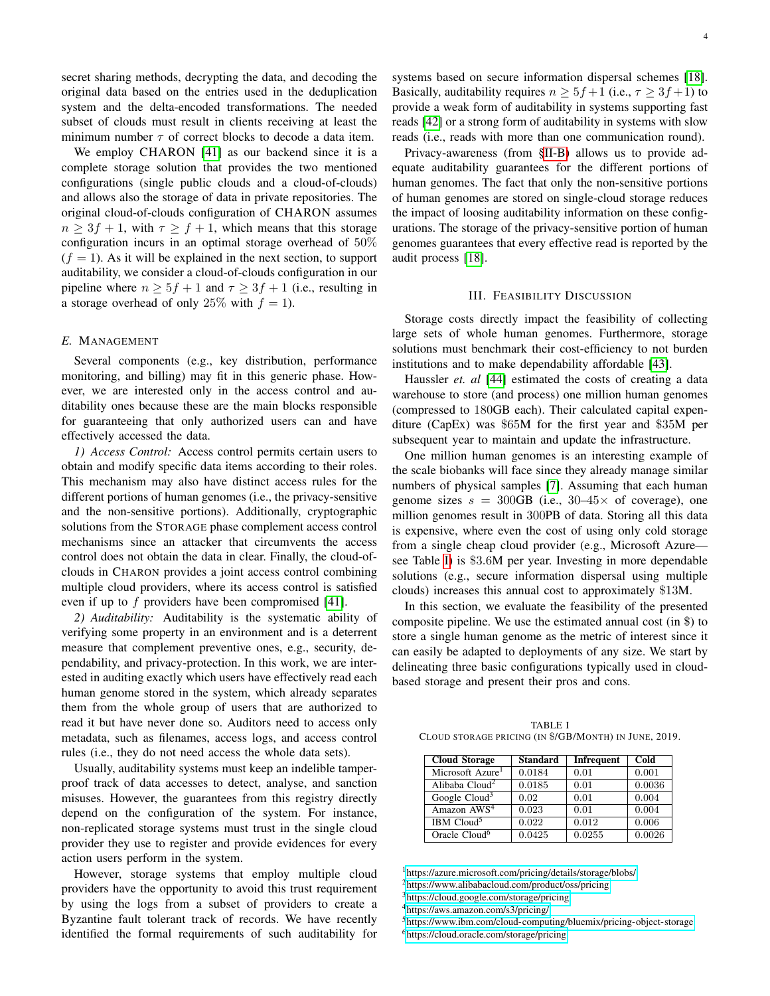secret sharing methods, decrypting the data, and decoding the original data based on the entries used in the deduplication system and the delta-encoded transformations. The needed subset of clouds must result in clients receiving at least the minimum number  $\tau$  of correct blocks to decode a data item.

We employ CHARON [\[41\]](#page-5-40) as our backend since it is a complete storage solution that provides the two mentioned configurations (single public clouds and a cloud-of-clouds) and allows also the storage of data in private repositories. The original cloud-of-clouds configuration of CHARON assumes  $n \geq 3f + 1$ , with  $\tau \geq f + 1$ , which means that this storage configuration incurs in an optimal storage overhead of 50%  $(f = 1)$ . As it will be explained in the next section, to support auditability, we consider a cloud-of-clouds configuration in our pipeline where  $n \geq 5f + 1$  and  $\tau \geq 3f + 1$  (i.e., resulting in a storage overhead of only 25% with  $f = 1$ .

## <span id="page-3-1"></span>*E.* MANAGEMENT

Several components (e.g., key distribution, performance monitoring, and billing) may fit in this generic phase. However, we are interested only in the access control and auditability ones because these are the main blocks responsible for guaranteeing that only authorized users can and have effectively accessed the data.

*1) Access Control:* Access control permits certain users to obtain and modify specific data items according to their roles. This mechanism may also have distinct access rules for the different portions of human genomes (i.e., the privacy-sensitive and the non-sensitive portions). Additionally, cryptographic solutions from the STORAGE phase complement access control mechanisms since an attacker that circumvents the access control does not obtain the data in clear. Finally, the cloud-ofclouds in CHARON provides a joint access control combining multiple cloud providers, where its access control is satisfied even if up to  $f$  providers have been compromised [\[41\]](#page-5-40).

*2) Auditability:* Auditability is the systematic ability of verifying some property in an environment and is a deterrent measure that complement preventive ones, e.g., security, dependability, and privacy-protection. In this work, we are interested in auditing exactly which users have effectively read each human genome stored in the system, which already separates them from the whole group of users that are authorized to read it but have never done so. Auditors need to access only metadata, such as filenames, access logs, and access control rules (i.e., they do not need access the whole data sets).

Usually, auditability systems must keep an indelible tamperproof track of data accesses to detect, analyse, and sanction misuses. However, the guarantees from this registry directly depend on the configuration of the system. For instance, non-replicated storage systems must trust in the single cloud provider they use to register and provide evidences for every action users perform in the system.

However, storage systems that employ multiple cloud providers have the opportunity to avoid this trust requirement by using the logs from a subset of providers to create a Byzantine fault tolerant track of records. We have recently identified the formal requirements of such auditability for

systems based on secure information dispersal schemes [\[18\]](#page-5-17). Basically, auditability requires  $n > 5f+1$  (i.e.,  $\tau > 3f+1$ ) to provide a weak form of auditability in systems supporting fast reads [\[42\]](#page-5-41) or a strong form of auditability in systems with slow reads (i.e., reads with more than one communication round).

Privacy-awareness (from [§II-B\)](#page-1-1) allows us to provide adequate auditability guarantees for the different portions of human genomes. The fact that only the non-sensitive portions of human genomes are stored on single-cloud storage reduces the impact of loosing auditability information on these configurations. The storage of the privacy-sensitive portion of human genomes guarantees that every effective read is reported by the audit process [\[18\]](#page-5-17).

## III. FEASIBILITY DISCUSSION

Storage costs directly impact the feasibility of collecting large sets of whole human genomes. Furthermore, storage solutions must benchmark their cost-efficiency to not burden institutions and to make dependability affordable [\[43\]](#page-5-42).

Haussler *et. al* [\[44\]](#page-5-43) estimated the costs of creating a data warehouse to store (and process) one million human genomes (compressed to 180GB each). Their calculated capital expenditure (CapEx) was \$65M for the first year and \$35M per subsequent year to maintain and update the infrastructure.

One million human genomes is an interesting example of the scale biobanks will face since they already manage similar numbers of physical samples [\[7\]](#page-5-6). Assuming that each human genome sizes  $s = 300GB$  (i.e.,  $30-45 \times$  of coverage), one million genomes result in 300PB of data. Storing all this data is expensive, where even the cost of using only cold storage from a single cheap cloud provider (e.g., Microsoft Azure see Table [I\)](#page-3-0) is \$3.6M per year. Investing in more dependable solutions (e.g., secure information dispersal using multiple clouds) increases this annual cost to approximately \$13M.

In this section, we evaluate the feasibility of the presented composite pipeline. We use the estimated annual cost (in \$) to store a single human genome as the metric of interest since it can easily be adapted to deployments of any size. We start by delineating three basic configurations typically used in cloudbased storage and present their pros and cons.

<span id="page-3-0"></span>TABLE I CLOUD STORAGE PRICING (IN \$/GB/MONTH) IN JUNE, 2019.

| <b>Cloud Storage</b>         | <b>Standard</b> | <b>Infrequent</b> | Cold   |
|------------------------------|-----------------|-------------------|--------|
| Microsoft Azure <sup>1</sup> | 0.0184          | 0.01              | 0.001  |
| Alibaba Cloud <sup>2</sup>   | 0.0185          | 0.01              | 0.0036 |
| Google $Cloud3$              | 0.02            | 0.01              | 0.004  |
| Amazon AWS <sup>4</sup>      | 0.023           | 0.01              | 0.004  |
| IBM Cloud <sup>5</sup>       | 0.022           | 0.012             | 0.006  |
| Oracle $Cloud6$              | 0.0425          | 0.0255            | 0.0026 |

<sup>1</sup><https://azure.microsoft.com/pricing/details/storage/blobs/>

<sup>2</sup><https://www.alibabacloud.com/product/oss/pricing>

<sup>3</sup><https://cloud.google.com/storage/pricing>

<sup>4</sup><https://aws.amazon.com/s3/pricing/>

<sup>5</sup><https://www.ibm.com/cloud-computing/bluemix/pricing-object-storage> <sup>6</sup><https://cloud.oracle.com/storage/pricing>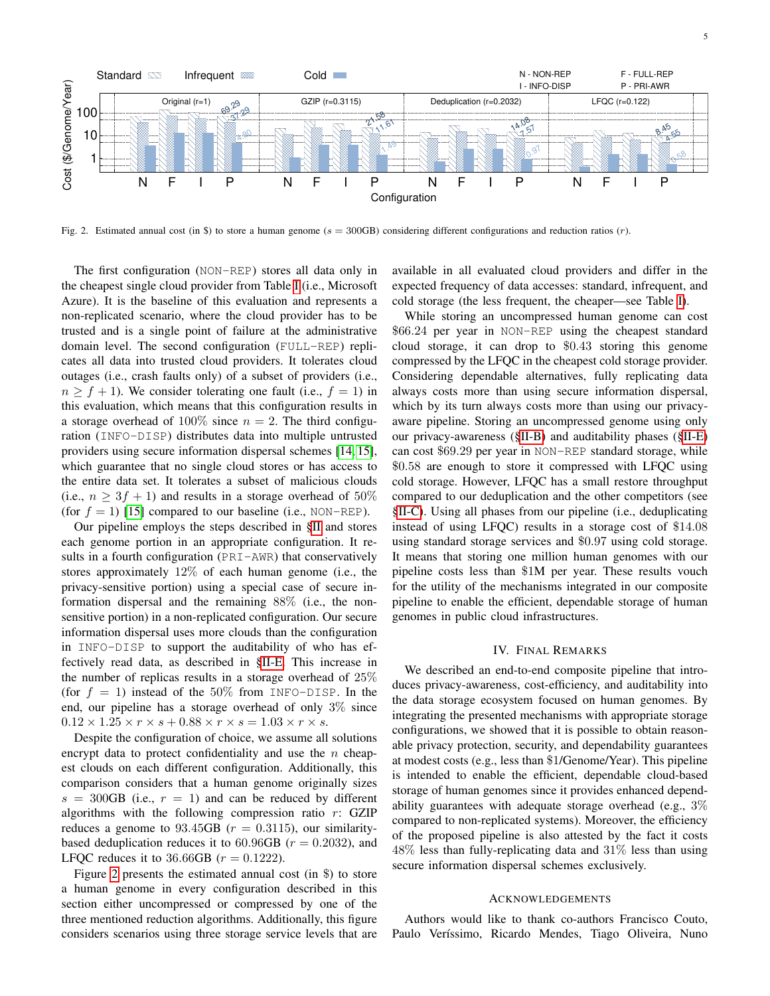

<span id="page-4-0"></span>Fig. 2. Estimated annual cost (in \$) to store a human genome ( $s = 300$ GB) considering different configurations and reduction ratios (r).

The first configuration (NON-REP) stores all data only in the cheapest single cloud provider from Table [I](#page-3-0) (i.e., Microsoft Azure). It is the baseline of this evaluation and represents a non-replicated scenario, where the cloud provider has to be trusted and is a single point of failure at the administrative domain level. The second configuration (FULL-REP) replicates all data into trusted cloud providers. It tolerates cloud outages (i.e., crash faults only) of a subset of providers (i.e.,  $n > f + 1$ ). We consider tolerating one fault (i.e.,  $f = 1$ ) in this evaluation, which means that this configuration results in a storage overhead of 100% since  $n = 2$ . The third configuration (INFO-DISP) distributes data into multiple untrusted providers using secure information dispersal schemes [\[14,](#page-5-13) [15\]](#page-5-14), which guarantee that no single cloud stores or has access to the entire data set. It tolerates a subset of malicious clouds (i.e.,  $n \geq 3f + 1$ ) and results in a storage overhead of 50% (for  $f = 1$ ) [\[15\]](#page-5-14) compared to our baseline (i.e., NON-REP).

Our pipeline employs the steps described in [§II](#page-1-2) and stores each genome portion in an appropriate configuration. It results in a fourth configuration (PRI-AWR) that conservatively stores approximately 12% of each human genome (i.e., the privacy-sensitive portion) using a special case of secure information dispersal and the remaining 88% (i.e., the nonsensitive portion) in a non-replicated configuration. Our secure information dispersal uses more clouds than the configuration in INFO-DISP to support the auditability of who has effectively read data, as described in [§II-E.](#page-3-1) This increase in the number of replicas results in a storage overhead of 25% (for  $f = 1$ ) instead of the 50% from INFO-DISP. In the end, our pipeline has a storage overhead of only 3% since  $0.12 \times 1.25 \times r \times s + 0.88 \times r \times s = 1.03 \times r \times s$ .

Despite the configuration of choice, we assume all solutions encrypt data to protect confidentiality and use the  $n$  cheapest clouds on each different configuration. Additionally, this comparison considers that a human genome originally sizes  $s = 300$ GB (i.e.,  $r = 1$ ) and can be reduced by different algorithms with the following compression ratio  $r$ : GZIP reduces a genome to  $93.45GB$  ( $r = 0.3115$ ), our similaritybased deduplication reduces it to  $60.96GB$  ( $r = 0.2032$ ), and LFQC reduces it to 36.66GB ( $r = 0.1222$ ).

Figure [2](#page-4-0) presents the estimated annual cost (in \$) to store a human genome in every configuration described in this section either uncompressed or compressed by one of the three mentioned reduction algorithms. Additionally, this figure considers scenarios using three storage service levels that are available in all evaluated cloud providers and differ in the expected frequency of data accesses: standard, infrequent, and cold storage (the less frequent, the cheaper—see Table [I\)](#page-3-0).

While storing an uncompressed human genome can cost \$66.24 per year in NON-REP using the cheapest standard cloud storage, it can drop to \$0.43 storing this genome compressed by the LFQC in the cheapest cold storage provider. Considering dependable alternatives, fully replicating data always costs more than using secure information dispersal, which by its turn always costs more than using our privacyaware pipeline. Storing an uncompressed genome using only our privacy-awareness ([§II-B\)](#page-1-1) and auditability phases ([§II-E\)](#page-3-1) can cost \$69.29 per year in NON-REP standard storage, while \$0.58 are enough to store it compressed with LFQC using cold storage. However, LFQC has a small restore throughput compared to our deduplication and the other competitors (see [§II-C\)](#page-2-0). Using all phases from our pipeline (i.e., deduplicating instead of using LFQC) results in a storage cost of \$14.08 using standard storage services and \$0.97 using cold storage. It means that storing one million human genomes with our pipeline costs less than \$1M per year. These results vouch for the utility of the mechanisms integrated in our composite pipeline to enable the efficient, dependable storage of human genomes in public cloud infrastructures.

# IV. FINAL REMARKS

We described an end-to-end composite pipeline that introduces privacy-awareness, cost-efficiency, and auditability into the data storage ecosystem focused on human genomes. By integrating the presented mechanisms with appropriate storage configurations, we showed that it is possible to obtain reasonable privacy protection, security, and dependability guarantees at modest costs (e.g., less than \$1/Genome/Year). This pipeline is intended to enable the efficient, dependable cloud-based storage of human genomes since it provides enhanced dependability guarantees with adequate storage overhead (e.g.,  $3\%$ ) compared to non-replicated systems). Moreover, the efficiency of the proposed pipeline is also attested by the fact it costs 48% less than fully-replicating data and 31% less than using secure information dispersal schemes exclusively.

## ACKNOWLEDGEMENTS

Authors would like to thank co-authors Francisco Couto, Paulo Veríssimo, Ricardo Mendes, Tiago Oliveira, Nuno